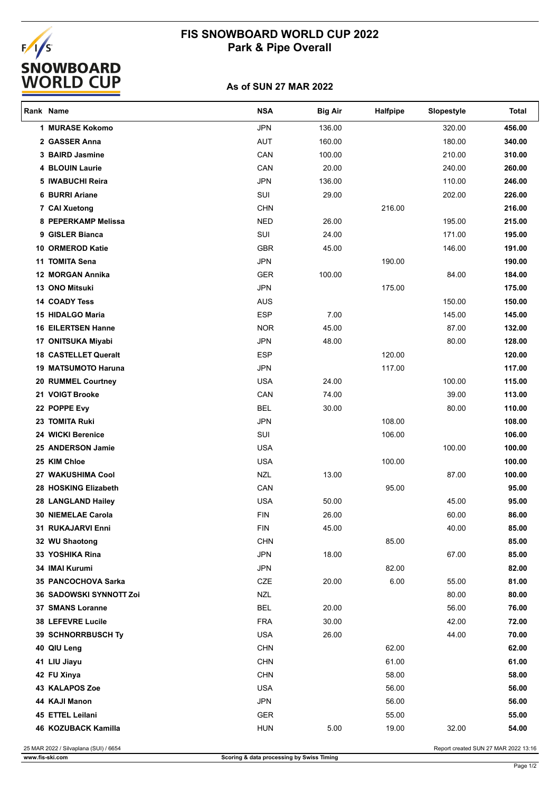# EALS<br>SNOWBOARD<br><u>WORLD CUP</u>

## **FIS SNOWBOARD WORLD CUP 2022 Park & Pipe Overall**

### **As of SUN 27 MAR 2022**

| Rank Name                   | <b>NSA</b> | <b>Big Air</b> | Halfpipe | Slopestyle | <b>Total</b> |
|-----------------------------|------------|----------------|----------|------------|--------------|
| 1 MURASE Kokomo             | <b>JPN</b> | 136.00         |          | 320.00     | 456.00       |
| 2 GASSER Anna               | <b>AUT</b> | 160.00         |          | 180.00     | 340.00       |
| 3 BAIRD Jasmine             | CAN        | 100.00         |          | 210.00     | 310.00       |
| <b>4 BLOUIN Laurie</b>      | CAN        | 20.00          |          | 240.00     | 260.00       |
| 5 IWABUCHI Reira            | <b>JPN</b> | 136.00         |          | 110.00     | 246.00       |
| 6 BURRI Ariane              | SUI        | 29.00          |          | 202.00     | 226.00       |
| 7 CAI Xuetong               | <b>CHN</b> |                | 216.00   |            | 216.00       |
| 8 PEPERKAMP Melissa         | <b>NED</b> | 26.00          |          | 195.00     | 215.00       |
| 9 GISLER Bianca             | SUI        | 24.00          |          | 171.00     | 195.00       |
| 10 ORMEROD Katie            | <b>GBR</b> | 45.00          |          | 146.00     | 191.00       |
| 11 TOMITA Sena              | <b>JPN</b> |                | 190.00   |            | 190.00       |
| 12 MORGAN Annika            | <b>GER</b> | 100.00         |          | 84.00      | 184.00       |
| <b>13 ONO Mitsuki</b>       | <b>JPN</b> |                | 175.00   |            | 175.00       |
| <b>14 COADY Tess</b>        | <b>AUS</b> |                |          | 150.00     | 150.00       |
| 15 HIDALGO Maria            | <b>ESP</b> | 7.00           |          | 145.00     | 145.00       |
| <b>16 EILERTSEN Hanne</b>   | <b>NOR</b> | 45.00          |          | 87.00      | 132.00       |
| 17 ONITSUKA Miyabi          | <b>JPN</b> | 48.00          |          | 80.00      | 128.00       |
| <b>18 CASTELLET Queralt</b> | <b>ESP</b> |                | 120.00   |            | 120.00       |
| <b>19 MATSUMOTO Haruna</b>  | <b>JPN</b> |                | 117.00   |            | 117.00       |
| 20 RUMMEL Courtney          | <b>USA</b> | 24.00          |          | 100.00     | 115.00       |
| 21 VOIGT Brooke             | CAN        | 74.00          |          | 39.00      | 113.00       |
| 22 POPPE Evy                | <b>BEL</b> | 30.00          |          | 80.00      | 110.00       |
| 23 TOMITA Ruki              | <b>JPN</b> |                | 108.00   |            | 108.00       |
| 24 WICKI Berenice           | SUI        |                | 106.00   |            | 106.00       |
| 25 ANDERSON Jamie           | <b>USA</b> |                |          | 100.00     | 100.00       |
| 25 KIM Chloe                | <b>USA</b> |                | 100.00   |            | 100.00       |
| 27 WAKUSHIMA Cool           | <b>NZL</b> | 13.00          |          | 87.00      | 100.00       |
| 28 HOSKING Elizabeth        | CAN        |                | 95.00    |            | 95.00        |
| 28 LANGLAND Hailey          | <b>USA</b> | 50.00          |          | 45.00      | 95.00        |
| <b>30 NIEMELAE Carola</b>   | <b>FIN</b> | 26.00          |          | 60.00      | 86.00        |
| 31 RUKAJARVI Enni           | <b>FIN</b> | 45.00          |          | 40.00      | 85.00        |
| 32 WU Shaotong              | <b>CHN</b> |                | 85.00    |            | 85.00        |
| 33 YOSHIKA Rina             | <b>JPN</b> | 18.00          |          | 67.00      | 85.00        |
| 34 IMAI Kurumi              | <b>JPN</b> |                | 82.00    |            | 82.00        |
| 35 PANCOCHOVA Sarka         | CZE        | 20.00          | 6.00     | 55.00      | 81.00        |
| 36 SADOWSKI SYNNOTT Zoi     | <b>NZL</b> |                |          | 80.00      | 80.00        |
| 37 SMANS Loranne            | <b>BEL</b> | 20.00          |          | 56.00      | 76.00        |
| 38 LEFEVRE Lucile           | <b>FRA</b> | 30.00          |          | 42.00      | 72.00        |
| 39 SCHNORRBUSCH Ty          | <b>USA</b> | 26.00          |          | 44.00      | 70.00        |
| 40 QIU Leng                 | <b>CHN</b> |                | 62.00    |            | 62.00        |
| 41 LIU Jiayu                | <b>CHN</b> |                | 61.00    |            | 61.00        |
| 42 FU Xinya                 | <b>CHN</b> |                | 58.00    |            | 58.00        |
| 43 KALAPOS Zoe              | <b>USA</b> |                | 56.00    |            | 56.00        |
| 44 KAJI Manon               | <b>JPN</b> |                | 56.00    |            | 56.00        |
| 45 ETTEL Leilani            | <b>GER</b> |                | 55.00    |            | 55.00        |
| 46 KOZUBACK Kamilla         | <b>HUN</b> | 5.00           | 19.00    | 32.00      | 54.00        |
|                             |            |                |          |            |              |

25 MAR 2022 / Silvaplana (SUI) / 6654 **Report created SUN 27 MAR 2022 13:16**